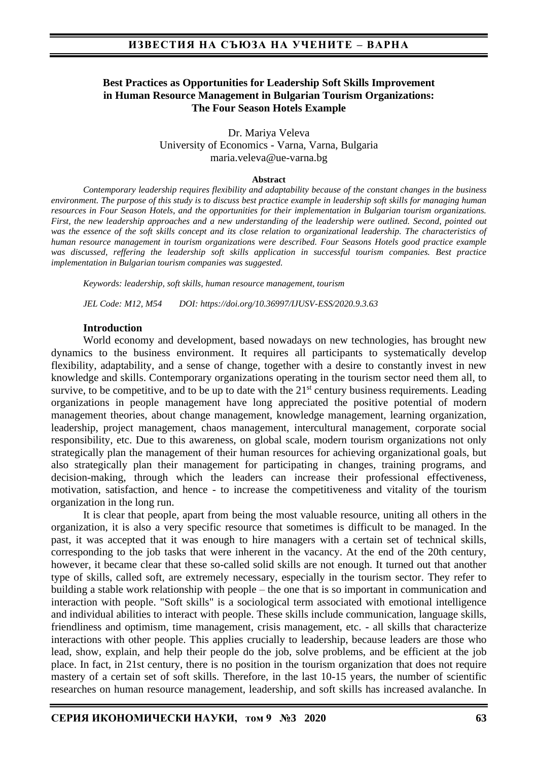## **Best Practices as Opportunities for Leadership Soft Skills Improvement in Human Resource Management in Bulgarian Tourism Organizations: The Four Season Hotels Example**

Dr. Mariya Veleva University of Economics - Varna, Varna, Bulgaria maria.veleva@ue-varna.bg

#### **Abstract**

*Contemporary leadership requires flexibility and adaptability because of the constant changes in the business environment. The purpose of this study is to discuss best practice example in leadership soft skills for managing human resources in Four Season Hotels, and the opportunities for their implementation in Bulgarian tourism organizations. First, the new leadership approaches and a new understanding of the leadership were outlined. Second, pointed out was the essence of the soft skills concept and its close relation to organizational leadership. The characteristics of human resource management in tourism organizations were described. Four Seasons Hotels good practice example was discussed, reffering the leadership soft skills application in successful tourism companies. Best practice implementation in Bulgarian tourism companies was suggested.*

*Keywords: leadership, soft skills, human resource management, tourism*

*JEL Code: M12, M54 DOI: https://doi.org/10.36997/IJUSV-ESS/2020.9.3.63*

#### **Introduction**

World economy and development, based nowadays on new technologies, has brought new dynamics to the business environment. It requires all participants to systematically develop flexibility, adaptability, and a sense of change, together with a desire to constantly invest in new knowledge and skills. Contemporary organizations operating in the tourism sector need them all, to survive, to be competitive, and to be up to date with the  $21<sup>st</sup>$  century business requirements. Leading organizations in people management have long appreciated the positive potential of modern management theories, about change management, knowledge management, learning organization, leadership, project management, chaos management, intercultural management, corporate social responsibility, etc. Due to this awareness, on global scale, modern tourism organizations not only strategically plan the management of their human resources for achieving organizational goals, but also strategically plan their management for participating in changes, training programs, and decision-making, through which the leaders can increase their professional effectiveness, motivation, satisfaction, and hence - to increase the competitiveness and vitality of the tourism organization in the long run.

It is clear that people, apart from being the most valuable resource, uniting all others in the organization, it is also a very specific resource that sometimes is difficult to be managed. In the past, it was accepted that it was enough to hire managers with a certain set of technical skills, corresponding to the job tasks that were inherent in the vacancy. At the end of the 20th century, however, it became clear that these so-called solid skills are not enough. It turned out that another type of skills, called soft, are extremely necessary, especially in the tourism sector. They refer to building a stable work relationship with people – the one that is so important in communication and interaction with people. "Soft skills" is a sociological term associated with emotional intelligence and individual abilities to interact with people. These skills include communication, language skills, friendliness and optimism, time management, crisis management, etc. - all skills that characterize interactions with other people. This applies crucially to leadership, because leaders are those who lead, show, explain, and help their people do the job, solve problems, and be efficient at the job place. In fact, in 21st century, there is no position in the tourism organization that does not require mastery of a certain set of soft skills. Therefore, in the last 10-15 years, the number of scientific researches on human resource management, leadership, and soft skills has increased avalanche. In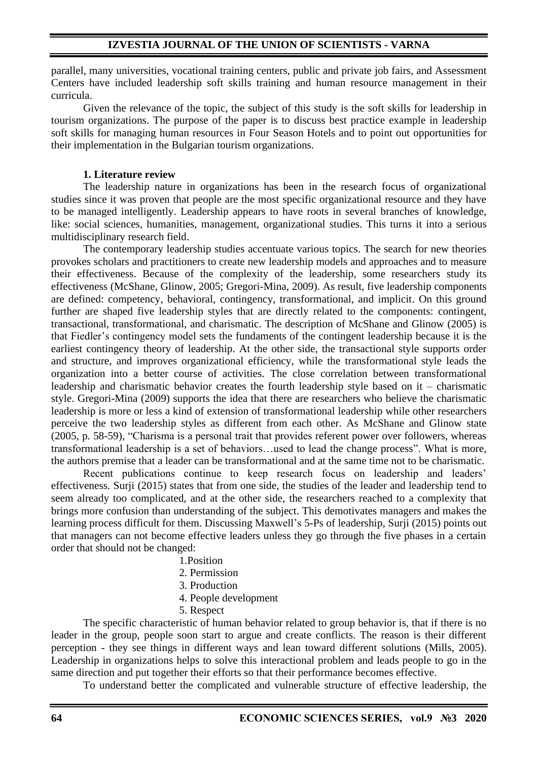parallel, many universities, vocational training centers, public and private job fairs, and Assessment Centers have included leadership soft skills training and human resource management in their curricula.

Given the relevance of the topic, the subject of this study is the soft skills for leadership in tourism organizations. The purpose of the paper is to discuss best practice example in leadership soft skills for managing human resources in Four Season Hotels and to point out opportunities for their implementation in the Bulgarian tourism organizations.

## **1. Literature review**

The leadership nature in organizations has been in the research focus of organizational studies since it was proven that people are the most specific organizational resource and they have to be managed intelligently. Leadership appears to have roots in several branches of knowledge, like: social sciences, humanities, management, organizational studies. This turns it into a serious multidisciplinary research field.

The contemporary leadership studies accentuate various topics. The search for new theories provokes scholars and practitioners to create new leadership models and approaches and to measure their effectiveness. Because of the complexity of the leadership, some researchers study its effectiveness (McShane, Glinow, 2005; Gregori-Mina, 2009). As result, five leadership components are defined: competency, behavioral, contingency, transformational, and implicit. On this ground further are shaped five leadership styles that are directly related to the components: contingent, transactional, transformational, and charismatic. The description of McShane and Glinow (2005) is that Fiedler's contingency model sets the fundaments of the contingent leadership because it is the earliest contingency theory of leadership. At the other side, the transactional style supports order and structure, and improves organizational efficiency, while the transformational style leads the organization into a better course of activities. The close correlation between transformational leadership and charismatic behavior creates the fourth leadership style based on it – charismatic style. Gregori-Mina (2009) supports the idea that there are researchers who believe the charismatic leadership is more or less a kind of extension of transformational leadership while other researchers perceive the two leadership styles as different from each other. As McShane and Glinow state (2005, p. 58-59), "Charisma is a personal trait that provides referent power over followers, whereas transformational leadership is a set of behaviors…used to lead the change process". What is more, the authors premise that a leader can be transformational and at the same time not to be charismatic.

Recent publications continue to keep research focus on leadership and leaders' effectiveness. Surji (2015) states that from one side, the studies of the leader and leadership tend to seem already too complicated, and at the other side, the researchers reached to a complexity that brings more confusion than understanding of the subject. This demotivates managers and makes the learning process difficult for them. Discussing Maxwell's 5-Ps of leadership, Surji (2015) points out that managers can not become effective leaders unless they go through the five phases in a certain order that should not be changed:

- 1.Position
- 2. Permission
- 3. Production
- 4. People development
- 5. Respect

The specific characteristic of human behavior related to group behavior is, that if there is no leader in the group, people soon start to argue and create conflicts. The reason is their different perception - they see things in different ways and lean toward different solutions (Mills, 2005). Leadership in organizations helps to solve this interactional problem and leads people to go in the same direction and put together their efforts so that their performance becomes effective.

To understand better the complicated and vulnerable structure of effective leadership, the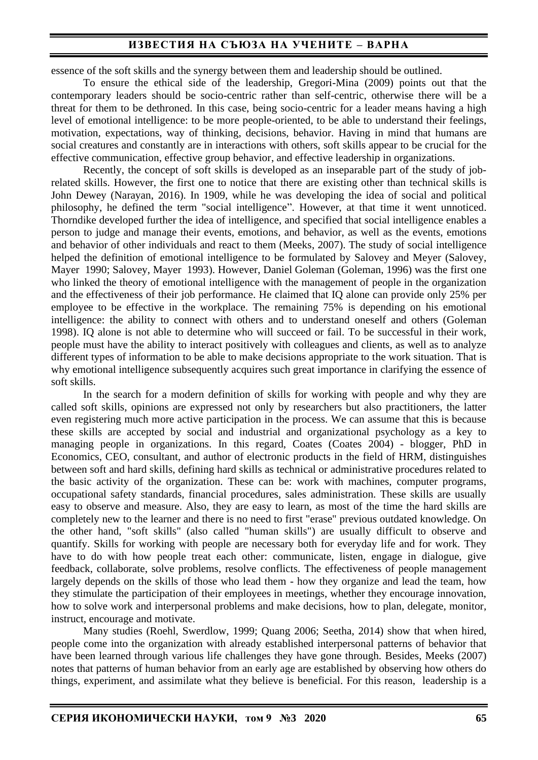essence of the soft skills and the synergy between them and leadership should be outlined.

To ensure the ethical side of the leadership, Gregori-Mina (2009) points out that the contemporary leaders should be socio-centric rather than self-centric, otherwise there will be a threat for them to be dethroned. In this case, being socio-centric for a leader means having a high level of emotional intelligence: to be more people-oriented, to be able to understand their feelings, motivation, expectations, way of thinking, decisions, behavior. Having in mind that humans are social creatures and constantly are in interactions with others, soft skills appear to be crucial for the effective communication, effective group behavior, and effective leadership in organizations.

Recently, the concept of soft skills is developed as an inseparable part of the study of jobrelated skills. However, the first one to notice that there are existing other than technical skills is John Dewey (Narayan, 2016). In 1909, while he was developing the idea of social and political philosophy, he defined the term "social intelligence". However, at that time it went unnoticed. Thorndike developed further the idea of intelligence, and specified that social intelligence enables a person to judge and manage their events, emotions, and behavior, as well as the events, emotions and behavior of other individuals and react to them (Meeks, 2007). The study of social intelligence helped the definition of emotional intelligence to be formulated by Salovey and Meyer (Salovey, Mayer 1990; Salovey, Mayer 1993). However, Daniel Goleman (Goleman, 1996) was the first one who linked the theory of emotional intelligence with the management of people in the organization and the effectiveness of their job performance. He claimed that IQ alone can provide only 25% per employee to be effective in the workplace. The remaining 75% is depending on his emotional intelligence: the ability to connect with others and to understand oneself and others (Goleman 1998). IQ alone is not able to determine who will succeed or fail. To be successful in their work, people must have the ability to interact positively with colleagues and clients, as well as to analyze different types of information to be able to make decisions appropriate to the work situation. That is why emotional intelligence subsequently acquires such great importance in clarifying the essence of soft skills.

In the search for a modern definition of skills for working with people and why they are called soft skills, opinions are expressed not only by researchers but also practitioners, the latter even registering much more active participation in the process. We can assume that this is because these skills are accepted by social and industrial and organizational psychology as a key to managing people in organizations. In this regard, Coates (Coates 2004) - blogger, PhD in Economics, CEO, consultant, and author of electronic products in the field of HRM, distinguishes between soft and hard skills, defining hard skills as technical or administrative procedures related to the basic activity of the organization. These can be: work with machines, computer programs, occupational safety standards, financial procedures, sales administration. These skills are usually easy to observe and measure. Also, they are easy to learn, as most of the time the hard skills are completely new to the learner and there is no need to first "erase" previous outdated knowledge. On the other hand, "soft skills" (also called "human skills") are usually difficult to observe and quantify. Skills for working with people are necessary both for everyday life and for work. They have to do with how people treat each other: communicate, listen, engage in dialogue, give feedback, collaborate, solve problems, resolve conflicts. The effectiveness of people management largely depends on the skills of those who lead them - how they organize and lead the team, how they stimulate the participation of their employees in meetings, whether they encourage innovation, how to solve work and interpersonal problems and make decisions, how to plan, delegate, monitor, instruct, encourage and motivate.

Many studies (Roehl, Swerdlow, 1999; Quang 2006; Seetha, 2014) show that when hired, people come into the organization with already established interpersonal patterns of behavior that have been learned through various life challenges they have gone through. Besides, Meeks (2007) notes that patterns of human behavior from an early age are established by observing how others do things, experiment, and assimilate what they believe is beneficial. For this reason, leadership is a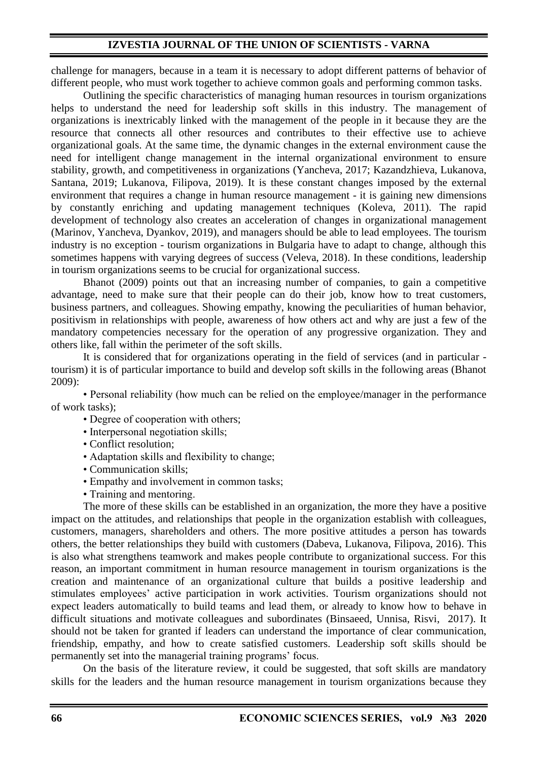## **IZVESTIA JOURNAL OF THE UNION OF SCIENTISTS - VARNA**

challenge for managers, because in a team it is necessary to adopt different patterns of behavior of different people, who must work together to achieve common goals and performing common tasks.

Outlining the specific characteristics of managing human resources in tourism organizations helps to understand the need for leadership soft skills in this industry. The management of organizations is inextricably linked with the management of the people in it because they are the resource that connects all other resources and contributes to their effective use to achieve organizational goals. At the same time, the dynamic changes in the external environment cause the need for intelligent change management in the internal organizational environment to ensure stability, growth, and competitiveness in organizations (Yancheva, 2017; Kazandzhieva, Lukanova, Santana, 2019; Lukanova, Filipova, 2019). It is these constant changes imposed by the external environment that requires a change in human resource management - it is gaining new dimensions by constantly enriching and updating management techniques (Koleva, 2011). The rapid development of technology also creates an acceleration of changes in organizational management (Marinov, Yancheva, Dyankov, 2019), and managers should be able to lead employees. The tourism industry is no exception - tourism organizations in Bulgaria have to adapt to change, although this sometimes happens with varying degrees of success (Veleva, 2018). In these conditions, leadership in tourism organizations seems to be crucial for organizational success.

Bhanot (2009) points out that an increasing number of companies, to gain a competitive advantage, need to make sure that their people can do their job, know how to treat customers, business partners, and colleagues. Showing empathy, knowing the peculiarities of human behavior, positivism in relationships with people, awareness of how others act and why are just a few of the mandatory competencies necessary for the operation of any progressive organization. They and others like, fall within the perimeter of the soft skills.

It is considered that for organizations operating in the field of services (and in particular tourism) it is of particular importance to build and develop soft skills in the following areas (Bhanot 2009):

• Personal reliability (how much can be relied on the employee/manager in the performance of work tasks);

- Degree of cooperation with others;
- Interpersonal negotiation skills:
- Conflict resolution;
- Adaptation skills and flexibility to change;
- Communication skills;
- Empathy and involvement in common tasks;
- Training and mentoring.

The more of these skills can be established in an organization, the more they have a positive impact on the attitudes, and relationships that people in the organization establish with colleagues, customers, managers, shareholders and others. The more positive attitudes a person has towards others, the better relationships they build with customers (Dabeva, Lukanova, Filipova, 2016). This is also what strengthens teamwork and makes people contribute to organizational success. For this reason, an important commitment in human resource management in tourism organizations is the creation and maintenance of an organizational culture that builds a positive leadership and stimulates employees' active participation in work activities. Tourism organizations should not expect leaders automatically to build teams and lead them, or already to know how to behave in difficult situations and motivate colleagues and subordinates (Binsaeed, Unnisa, Risvi, 2017). It should not be taken for granted if leaders can understand the importance of clear communication, friendship, empathy, and how to create satisfied customers. Leadership soft skills should be permanently set into the managerial training programs' focus.

On the basis of the literature review, it could be suggested, that soft skills are mandatory skills for the leaders and the human resource management in tourism organizations because they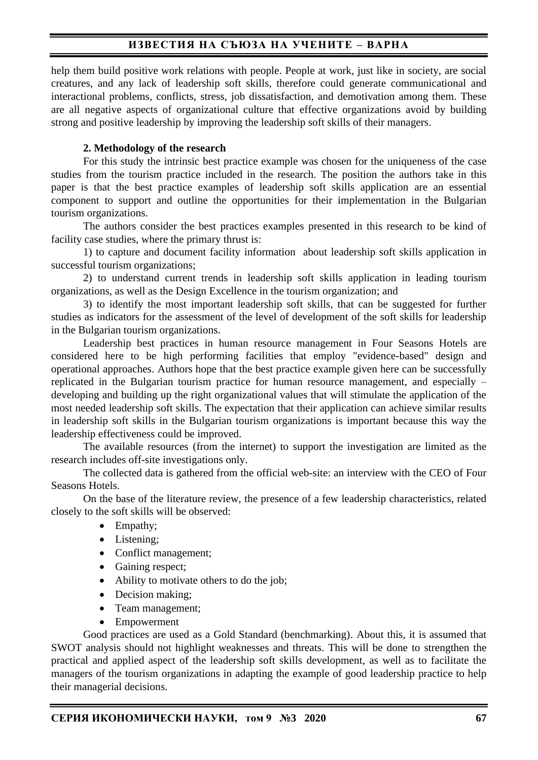help them build positive work relations with people. People at work, just like in society, are social creatures, and any lack of leadership soft skills, therefore could generate communicational and interactional problems, conflicts, stress, job dissatisfaction, and demotivation among them. These are all negative aspects of organizational culture that effective organizations avoid by building strong and positive leadership by improving the leadership soft skills of their managers.

## **2. Methodology of the research**

For this study the intrinsic best practice example was chosen for the uniqueness of the case studies from the tourism practice included in the research. The position the authors take in this paper is that the best practice examples of leadership soft skills application are an essential component to support and outline the opportunities for their implementation in the Bulgarian tourism organizations.

The authors consider the best practices examples presented in this research to be kind of facility case studies, where the primary thrust is:

1) to capture and document facility information about leadership soft skills application in successful tourism organizations;

2) to understand current trends in leadership soft skills application in leading tourism organizations, as well as the Design Excellence in the tourism organization; and

3) to identify the most important leadership soft skills, that can be suggested for further studies as indicators for the assessment of the level of development of the soft skills for leadership in the Bulgarian tourism organizations.

Leadership best practices in human resource management in Four Seasons Hotels are considered here to be high performing facilities that employ "evidence-based" design and operational approaches. Authors hope that the best practice example given here can be successfully replicated in the Bulgarian tourism practice for human resource management, and especially – developing and building up the right organizational values that will stimulate the application of the most needed leadership soft skills. The expectation that their application can achieve similar results in leadership soft skills in the Bulgarian tourism organizations is important because this way the leadership effectiveness could be improved.

The available resources (from the internet) to support the investigation are limited as the research includes off-site investigations only.

The collected data is gathered from the official web-site: an interview with the CEO of Four Seasons Hotels.

On the base of the literature review, the presence of a few leadership characteristics, related closely to the soft skills will be observed:

- Empathy;
- Listening:
- Conflict management;
- Gaining respect;
- Ability to motivate others to do the job;
- Decision making;
- Team management;
- **Empowerment**

Good practices are used as a Gold Standard (benchmarking). About this, it is assumed that SWOT analysis should not highlight weaknesses and threats. This will be done to strengthen the practical and applied aspect of the leadership soft skills development, as well as to facilitate the managers of the tourism organizations in adapting the example of good leadership practice to help their managerial decisions.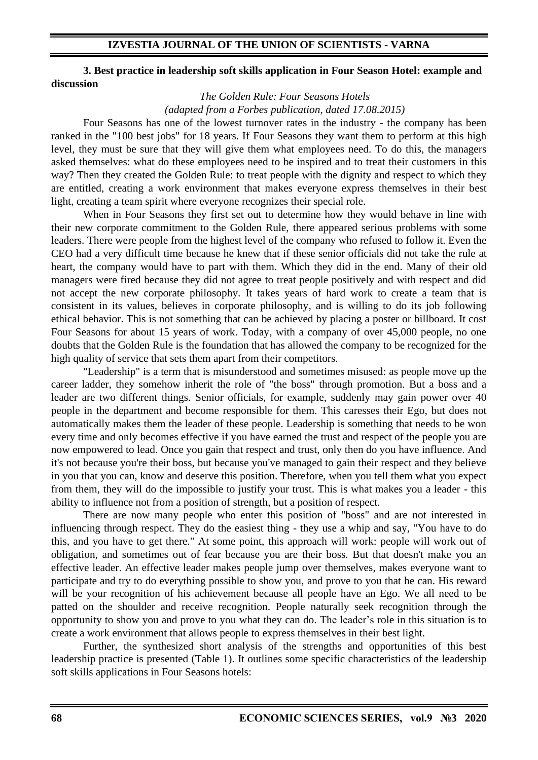## **IZVESTIA JOURNAL OF THE UNION OF SCIENTISTS - VARNA**

#### **3. Best practice in leadership soft skills application in Four Season Hotel: example and discussion**

*The Golden Rule: Four Seasons Hotels (adapted from a Forbes publication, dated 17.08.2015)* 

Four Seasons has one of the lowest turnover rates in the industry - the company has been ranked in the "100 best jobs" for 18 years. If Four Seasons they want them to perform at this high level, they must be sure that they will give them what employees need. To do this, the managers asked themselves: what do these employees need to be inspired and to treat their customers in this way? Then they created the Golden Rule: to treat people with the dignity and respect to which they are entitled, creating a work environment that makes everyone express themselves in their best light, creating a team spirit where everyone recognizes their special role.

When in Four Seasons they first set out to determine how they would behave in line with their new corporate commitment to the Golden Rule, there appeared serious problems with some leaders. There were people from the highest level of the company who refused to follow it. Even the CEO had a very difficult time because he knew that if these senior officials did not take the rule at heart, the company would have to part with them. Which they did in the end. Many of their old managers were fired because they did not agree to treat people positively and with respect and did not accept the new corporate philosophy. It takes years of hard work to create a team that is consistent in its values, believes in corporate philosophy, and is willing to do its job following ethical behavior. This is not something that can be achieved by placing a poster or billboard. It cost Four Seasons for about 15 years of work. Today, with a company of over 45,000 people, no one doubts that the Golden Rule is the foundation that has allowed the company to be recognized for the high quality of service that sets them apart from their competitors.

"Leadership" is a term that is misunderstood and sometimes misused: as people move up the career ladder, they somehow inherit the role of "the boss" through promotion. But a boss and a leader are two different things. Senior officials, for example, suddenly may gain power over 40 people in the department and become responsible for them. This caresses their Ego, but does not automatically makes them the leader of these people. Leadership is something that needs to be won every time and only becomes effective if you have earned the trust and respect of the people you are now empowered to lead. Once you gain that respect and trust, only then do you have influence. And it's not because you're their boss, but because you've managed to gain their respect and they believe in you that you can, know and deserve this position. Therefore, when you tell them what you expect from them, they will do the impossible to justify your trust. This is what makes you a leader - this ability to influence not from a position of strength, but a position of respect.

There are now many people who enter this position of "boss" and are not interested in influencing through respect. They do the easiest thing - they use a whip and say, "You have to do this, and you have to get there." At some point, this approach will work: people will work out of obligation, and sometimes out of fear because you are their boss. But that doesn't make you an effective leader. An effective leader makes people jump over themselves, makes everyone want to participate and try to do everything possible to show you, and prove to you that he can. His reward will be your recognition of his achievement because all people have an Ego. We all need to be patted on the shoulder and receive recognition. People naturally seek recognition through the opportunity to show you and prove to you what they can do. The leader's role in this situation is to create a work environment that allows people to express themselves in their best light.

Further, the synthesized short analysis of the strengths and opportunities of this best leadership practice is presented (Table 1). It outlines some specific characteristics of the leadership soft skills applications in Four Seasons hotels: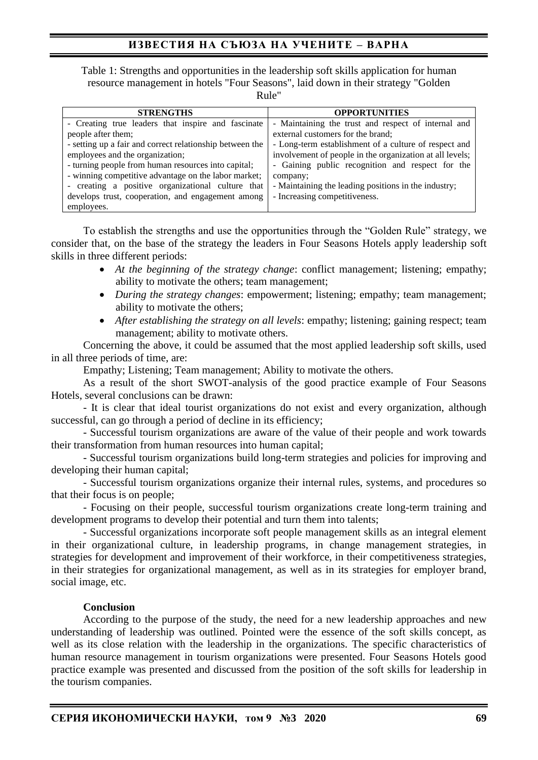Table 1: Strengths and opportunities in the leadership soft skills application for human resource management in hotels "Four Seasons", laid down in their strategy "Golden Rule"

| <b>STRENGTHS</b>                                         | <b>OPPORTUNITIES</b>                                     |
|----------------------------------------------------------|----------------------------------------------------------|
| - Creating true leaders that inspire and fascinate       | - Maintaining the trust and respect of internal and      |
| people after them;                                       | external customers for the brand;                        |
| - setting up a fair and correct relationship between the | - Long-term establishment of a culture of respect and    |
| employees and the organization;                          | involvement of people in the organization at all levels; |
| - turning people from human resources into capital;      | - Gaining public recognition and respect for the         |
| - winning competitive advantage on the labor market;     | company;                                                 |
| - creating a positive organizational culture that        | - Maintaining the leading positions in the industry;     |
| develops trust, cooperation, and engagement among        | - Increasing competitiveness.                            |
| employees.                                               |                                                          |

To establish the strengths and use the opportunities through the "Golden Rule" strategy, we consider that, on the base of the strategy the leaders in Four Seasons Hotels apply leadership soft skills in three different periods:

- *At the beginning of the strategy change*: conflict management; listening; empathy; ability to motivate the others; team management;
- *During the strategy changes*: empowerment; listening; empathy; team management; ability to motivate the others;
- *After establishing the strategy on all levels:* empathy; listening; gaining respect; team management; ability to motivate others.

Concerning the above, it could be assumed that the most applied leadership soft skills, used in all three periods of time, are:

Empathy; Listening; Team management; Ability to motivate the others.

As a result of the short SWOT-analysis of the good practice example of Four Seasons Hotels, several conclusions can be drawn:

- It is clear that ideal tourist organizations do not exist and every organization, although successful, can go through a period of decline in its efficiency;

- Successful tourism organizations are aware of the value of their people and work towards their transformation from human resources into human capital;

- Successful tourism organizations build long-term strategies and policies for improving and developing their human capital;

- Successful tourism organizations organize their internal rules, systems, and procedures so that their focus is on people;

- Focusing on their people, successful tourism organizations create long-term training and development programs to develop their potential and turn them into talents;

- Successful organizations incorporate soft people management skills as an integral element in their organizational culture, in leadership programs, in change management strategies, in strategies for development and improvement of their workforce, in their competitiveness strategies, in their strategies for organizational management, as well as in its strategies for employer brand, social image, etc.

#### **Conclusion**

According to the purpose of the study, the need for a new leadership approaches and new understanding of leadership was outlined. Pointed were the essence of the soft skills concept, as well as its close relation with the leadership in the organizations. The specific characteristics of human resource management in tourism organizations were presented. Four Seasons Hotels good practice example was presented and discussed from the position of the soft skills for leadership in the tourism companies.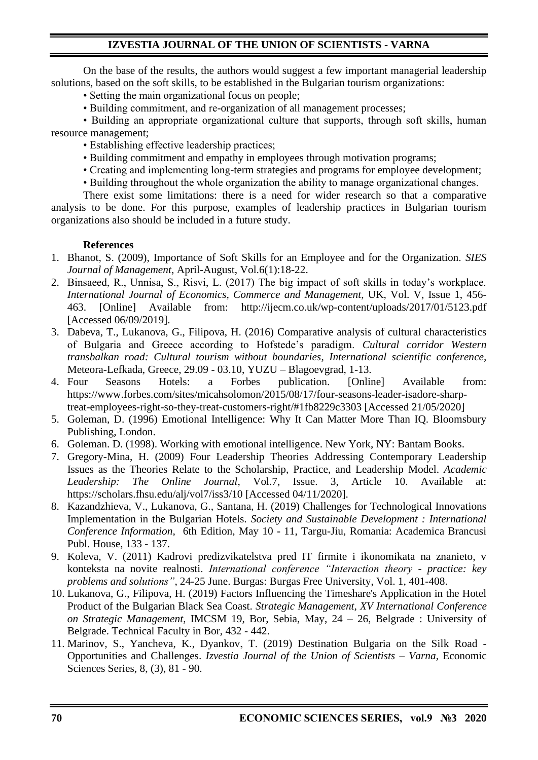# **IZVESTIA JOURNAL OF THE UNION OF SCIENTISTS - VARNA**

On the base of the results, the authors would suggest a few important managerial leadership solutions, based on the soft skills, to be established in the Bulgarian tourism organizations:

• Setting the main organizational focus on people;

• Building commitment, and re-organization of all management processes;

• Building an appropriate organizational culture that supports, through soft skills, human resource management;

- Establishing effective leadership practices;
- Building commitment and empathy in employees through motivation programs;
- Creating and implementing long-term strategies and programs for employee development;
- Building throughout the whole organization the ability to manage organizational changes.

There exist some limitations: there is a need for wider research so that a comparative analysis to be done. For this purpose, examples of leadership practices in Bulgarian tourism organizations also should be included in a future study.

### **References**

- 1. Bhanot, S. (2009), Importance of Soft Skills for an Employee and for the Organization. *SIES Journal of Management*, April-August, Vol.6(1):18-22.
- 2. Binsaeed, R., Unnisa, S., Risvi, L. (2017) The big impact of soft skills in today's workplace. *International Journal of Economics, Commerce and Management*, UK, Vol. V, Issue 1, 456- 463. [Online] Available from: http://ijecm.co.uk/wp-content/uploads/2017/01/5123.pdf [Accessed 06/09/2019].
- 3. Dabeva, T., Lukanova, G., Filipova, H. (2016) Comparative analysis of cultural characteristics of Bulgaria and Greece according to Hofstede's paradigm. *Cultural corridor Western transbalkan road: Cultural tourism without boundaries, International scientific conference,*  Meteora-Lefkada, Greece, 29.09 - 03.10, YUZU – Blagoevgrad, 1-13.
- 4. Four Seasons Hotels: a Forbes publication. [Online] Available from: https://www.forbes.com/sites/micahsolomon/2015/08/17/four-seasons-leader-isadore-sharptreat-employees-right-so-they-treat-customers-right/#1fb8229c3303 [Accessed 21/05/2020]
- 5. Goleman, D. (1996) Emotional Intelligence: Why It Can Matter More Than IQ. Bloomsbury Publishing, London.
- 6. Goleman. D. (1998). Working with emotional intelligence. New York, NY: Bantam Books.
- 7. Gregory-Mina, H. (2009) Four Leadership Theories Addressing Contemporary Leadership Issues as the Theories Relate to the Scholarship, Practice, and Leadership Model. *Academic Leadership: The Online Journal*, Vol.7, Issue. 3, Article 10. Available at: https://scholars.fhsu.edu/alj/vol7/iss3/10 [Accessed 04/11/2020].
- 8. Kazandzhieva, V., Lukanova, G., Santana, H. (2019) Challenges for Technological Innovations Implementation in the Bulgarian Hotels. *Society and Sustainable Development : International Conference Information*, 6th Edition, May 10 - 11, Targu-Jiu, Romania: Academica Brancusi Publ. House, 133 - 137.
- 9. Koleva, V. (2011) Kadrovi predizvikatelstva pred IT firmite i ikonomikata na znanieto, v konteksta na novite realnosti. *International conference "Interaction theory - practice: key problems and solutions"*, 24-25 June. Burgas: Burgas Free University, Vol. 1, 401-408.
- 10. Lukanova, G., Filipova, H. (2019) Factors Influencing the Timeshare's Application in the Hotel Product of the Bulgarian Black Sea Coast. *Strategic Management, XV International Conference on Strategic Management*, IMCSM 19, Bor, Sebia, May, 24 – 26, Belgrade : University of Belgrade. Technical Faculty in Bor, 432 - 442.
- 11. Marinov, S., Yancheva, K., Dyankov, Т. (2019) Destination Bulgaria on the Silk Road Opportunities and Challenges. *Izvestia Journal of the Union of Scientists – Varna*, Economic Sciences Series, 8, (3), 81 - 90.